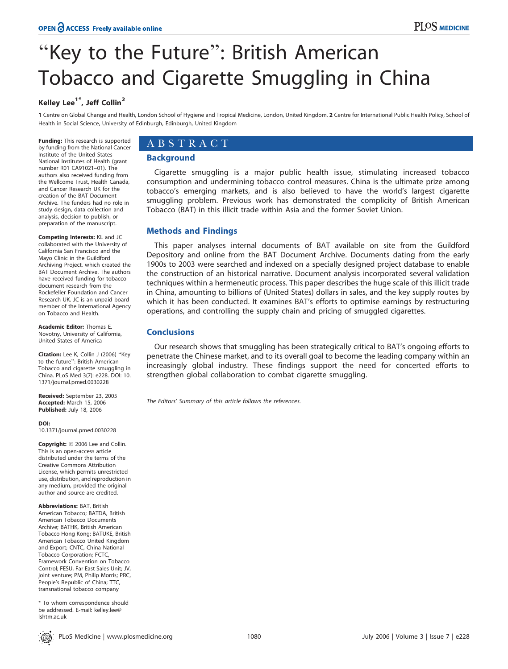# "Key to the Future": British American Tobacco and Cigarette Smuggling in China

# Kelley Lee $1^*$ , Jeff Collin<sup>2</sup>

1 Centre on Global Change and Health, London School of Hygiene and Tropical Medicine, London, United Kingdom, 2 Centre for International Public Health Policy, School of Health in Social Science, University of Edinburgh, Edinburgh, United Kingdom

Funding: This research is supported by funding from the National Cancer Institute of the United States National Institutes of Health (grant number R01 CA91021–01). The authors also received funding from the Wellcome Trust, Health Canada, and Cancer Research UK for the creation of the BAT Document Archive. The funders had no role in study design, data collection and analysis, decision to publish, or preparation of the manuscript.

Competing Interests: KL and JC collaborated with the University of California San Francisco and the Mayo Clinic in the Guildford Archiving Project, which created the BAT Document Archive. The authors have received funding for tobacco document research from the Rockefeller Foundation and Cancer Research UK. JC is an unpaid board member of the International Agency on Tobacco and Health.

Academic Editor: Thomas E. Novotny, University of California, United States of America

Citation: Lee K, Collin J (2006) "Key to the future'': British American Tobacco and cigarette smuggling in China. PLoS Med 3(7): e228. DOI: 10. 1371/journal.pmed.0030228

Received: September 23, 2005 Accepted: March 15, 2006 Published: July 18, 2006

DOI:

10.1371/journal.pmed.0030228

Copyright: © 2006 Lee and Collin. This is an open-access article distributed under the terms of the Creative Commons Attribution License, which permits unrestricted use, distribution, and reproduction in any medium, provided the original author and source are credited.

Abbreviations: BAT, British American Tobacco; BATDA, British American Tobacco Documents Archive; BATHK, British American Tobacco Hong Kong; BATUKE, British American Tobacco United Kingdom and Export; CNTC, China National Tobacco Corporation; FCTC, Framework Convention on Tobacco Control; FESU, Far East Sales Unit; JV, joint venture; PM, Philip Morris; PRC, People's Republic of China; TTC, transnational tobacco company

\* To whom correspondence should be addressed. E-mail: kelley.lee@ lshtm.ac.uk

# ABSTRACT

## Background

Cigarette smuggling is a major public health issue, stimulating increased tobacco consumption and undermining tobacco control measures. China is the ultimate prize among tobacco's emerging markets, and is also believed to have the world's largest cigarette smuggling problem. Previous work has demonstrated the complicity of British American Tobacco (BAT) in this illicit trade within Asia and the former Soviet Union.

# Methods and Findings

This paper analyses internal documents of BAT available on site from the Guildford Depository and online from the BAT Document Archive. Documents dating from the early 1900s to 2003 were searched and indexed on a specially designed project database to enable the construction of an historical narrative. Document analysis incorporated several validation techniques within a hermeneutic process. This paper describes the huge scale of this illicit trade in China, amounting to billions of (United States) dollars in sales, and the key supply routes by which it has been conducted. It examines BAT's efforts to optimise earnings by restructuring operations, and controlling the supply chain and pricing of smuggled cigarettes.

# **Conclusions**

Our research shows that smuggling has been strategically critical to BAT's ongoing efforts to penetrate the Chinese market, and to its overall goal to become the leading company within an increasingly global industry. These findings support the need for concerted efforts to strengthen global collaboration to combat cigarette smuggling.

The Editors' Summary of this article follows the references.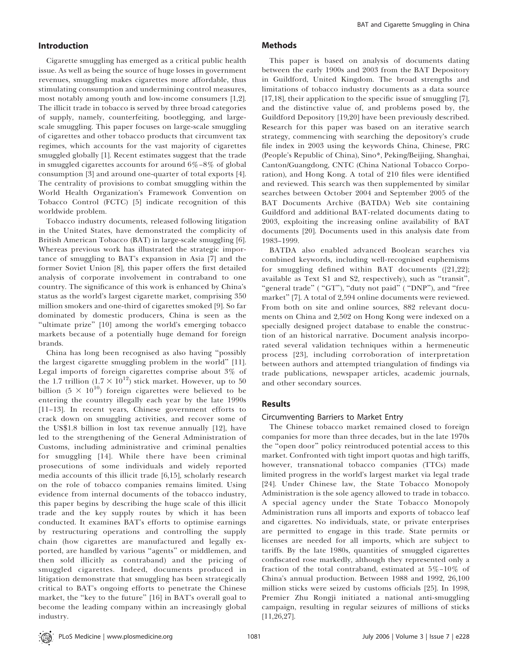#### Introduction

Cigarette smuggling has emerged as a critical public health issue. As well as being the source of huge losses in government revenues, smuggling makes cigarettes more affordable, thus stimulating consumption and undermining control measures, most notably among youth and low-income consumers [1,2]. The illicit trade in tobacco is served by three broad categories of supply, namely, counterfeiting, bootlegging, and largescale smuggling. This paper focuses on large-scale smuggling of cigarettes and other tobacco products that circumvent tax regimes, which accounts for the vast majority of cigarettes smuggled globally [1]. Recent estimates suggest that the trade in smuggled cigarettes accounts for around 6%–8% of global consumption [3] and around one-quarter of total exports [4]. The centrality of provisions to combat smuggling within the World Health Organization's Framework Convention on Tobacco Control (FCTC) [5] indicate recognition of this worldwide problem.

Tobacco industry documents, released following litigation in the United States, have demonstrated the complicity of British American Tobacco (BAT) in large-scale smuggling [6]. Whereas previous work has illustrated the strategic importance of smuggling to BAT's expansion in Asia [7] and the former Soviet Union [8], this paper offers the first detailed analysis of corporate involvement in contraband to one country. The significance of this work is enhanced by China's status as the world's largest cigarette market, comprising 350 million smokers and one-third of cigarettes smoked [9]. So far dominated by domestic producers, China is seen as the "ultimate prize" [10] among the world's emerging tobacco markets because of a potentially huge demand for foreign brands.

China has long been recognised as also having ''possibly the largest cigarette smuggling problem in the world'' [11]. Legal imports of foreign cigarettes comprise about 3% of the 1.7 trillion  $(1.7 \times 10^{12})$  stick market. However, up to 50 billion (5  $\times$  10<sup>10</sup>) foreign cigarettes were believed to be entering the country illegally each year by the late 1990s [11–13]. In recent years, Chinese government efforts to crack down on smuggling activities, and recover some of the US\$1.8 billion in lost tax revenue annually [12], have led to the strengthening of the General Administration of Customs, including administrative and criminal penalties for smuggling [14]. While there have been criminal prosecutions of some individuals and widely reported media accounts of this illicit trade [6,15], scholarly research on the role of tobacco companies remains limited. Using evidence from internal documents of the tobacco industry, this paper begins by describing the huge scale of this illicit trade and the key supply routes by which it has been conducted. It examines BAT's efforts to optimise earnings by restructuring operations and controlling the supply chain (how cigarettes are manufactured and legally exported, are handled by various ''agents'' or middlemen, and then sold illicitly as contraband) and the pricing of smuggled cigarettes. Indeed, documents produced in litigation demonstrate that smuggling has been strategically critical to BAT's ongoing efforts to penetrate the Chinese market, the ''key to the future'' [16] in BAT's overall goal to become the leading company within an increasingly global industry.

#### Methods

This paper is based on analysis of documents dating between the early 1900s and 2003 from the BAT Depository in Guildford, United Kingdom. The broad strengths and limitations of tobacco industry documents as a data source [17,18], their application to the specific issue of smuggling [7], and the distinctive value of, and problems posed by, the Guildford Depository [19,20] have been previously described. Research for this paper was based on an iterative search strategy, commencing with searching the depository's crude file index in 2003 using the keywords China, Chinese, PRC (People's Republic of China), Sino\*, Peking/Beijing, Shanghai, Canton/Guangdong, CNTC (China National Tobacco Corporation), and Hong Kong. A total of 210 files were identified and reviewed. This search was then supplemented by similar searches between October 2004 and September 2005 of the BAT Documents Archive (BATDA) Web site containing Guildford and additional BAT-related documents dating to 2003, exploiting the increasing online availability of BAT documents [20]. Documents used in this analysis date from 1983–1999.

BATDA also enabled advanced Boolean searches via combined keywords, including well-recognised euphemisms for smuggling defined within BAT documents ([21,22]; available as Text S1 and S2, respectively), such as ''transit'', "general trade" ( "GT"), "duty not paid" ( "DNP"), and "free market" [7]. A total of 2,594 online documents were reviewed. From both on site and online sources, 882 relevant documents on China and 2,502 on Hong Kong were indexed on a specially designed project database to enable the construction of an historical narrative. Document analysis incorporated several validation techniques within a hermeneutic process [23], including corroboration of interpretation between authors and attempted triangulation of findings via trade publications, newspaper articles, academic journals, and other secondary sources.

### Results

#### Circumventing Barriers to Market Entry

The Chinese tobacco market remained closed to foreign companies for more than three decades, but in the late 1970s the ''open door'' policy reintroduced potential access to this market. Confronted with tight import quotas and high tariffs, however, transnational tobacco companies (TTCs) made limited progress in the world's largest market via legal trade [24]. Under Chinese law, the State Tobacco Monopoly Administration is the sole agency allowed to trade in tobacco. A special agency under the State Tobacco Monopoly Administration runs all imports and exports of tobacco leaf and cigarettes. No individuals, state, or private enterprises are permitted to engage in this trade. State permits or licenses are needed for all imports, which are subject to tariffs. By the late 1980s, quantities of smuggled cigarettes confiscated rose markedly, although they represented only a fraction of the total contraband, estimated at 5%–10% of China's annual production. Between 1988 and 1992, 26,100 million sticks were seized by customs officials [25]. In 1998, Premier Zhu Rongji initiated a national anti-smuggling campaign, resulting in regular seizures of millions of sticks [11,26,27].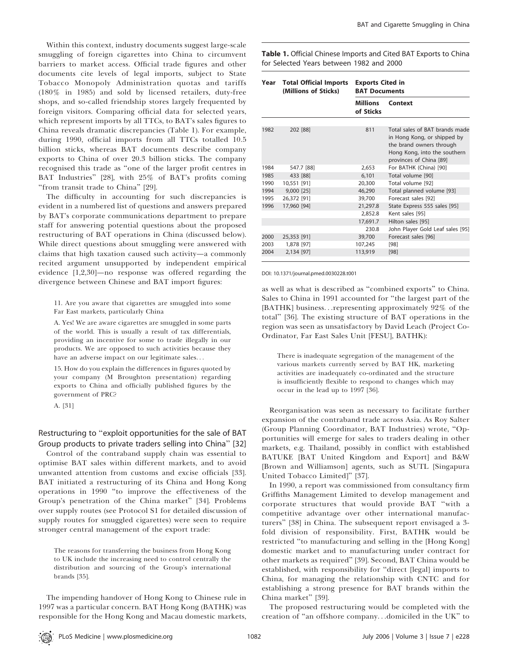Within this context, industry documents suggest large-scale smuggling of foreign cigarettes into China to circumvent barriers to market access. Official trade figures and other documents cite levels of legal imports, subject to State Tobacco Monopoly Administration quotas and tariffs (180% in 1985) and sold by licensed retailers, duty-free shops, and so-called friendship stores largely frequented by foreign visitors. Comparing official data for selected years, which represent imports by all TTCs, to BAT's sales figures to China reveals dramatic discrepancies (Table 1). For example, during 1990, official imports from all TTCs totalled 10.5 billion sticks, whereas BAT documents describe company exports to China of over 20.3 billion sticks. The company recognised this trade as ''one of the larger profit centres in BAT Industries'' [28], with 25% of BAT's profits coming "from transit trade to China" [29].

The difficulty in accounting for such discrepancies is evident in a numbered list of questions and answers prepared by BAT's corporate communications department to prepare staff for answering potential questions about the proposed restructuring of BAT operations in China (discussed below). While direct questions about smuggling were answered with claims that high taxation caused such activity—a commonly recited argument unsupported by independent empirical evidence [1,2,30]—no response was offered regarding the divergence between Chinese and BAT import figures:

11. Are you aware that cigarettes are smuggled into some Far East markets, particularly China

A. Yes! We are aware cigarettes are smuggled in some parts of the world. This is usually a result of tax differentials, providing an incentive for some to trade illegally in our products. We are opposed to such activities because they have an adverse impact on our legitimate sales...

15. How do you explain the differences in figures quoted by your company (M Broughton presentation) regarding exports to China and officially published figures by the government of PRC?

A. [31]

## Restructuring to ''exploit opportunities for the sale of BAT Group products to private traders selling into China'' [32]

Control of the contraband supply chain was essential to optimise BAT sales within different markets, and to avoid unwanted attention from customs and excise officials [33]. BAT initiated a restructuring of its China and Hong Kong operations in 1990 ''to improve the effectiveness of the Group's penetration of the China market'' [34]. Problems over supply routes (see Protocol S1 for detailed discussion of supply routes for smuggled cigarettes) were seen to require stronger central management of the export trade:

The reasons for transferring the business from Hong Kong to UK include the increasing need to control centrally the distribution and sourcing of the Group's international brands [35].

The impending handover of Hong Kong to Chinese rule in 1997 was a particular concern. BAT Hong Kong (BATHK) was responsible for the Hong Kong and Macau domestic markets, Table 1. Official Chinese Imports and Cited BAT Exports to China for Selected Years between 1982 and 2000

| Year | <b>Total Official Imports</b><br>(Millions of Sticks) | <b>Exports Cited in</b><br><b>BAT Documents</b> |                                                                                                                                                      |
|------|-------------------------------------------------------|-------------------------------------------------|------------------------------------------------------------------------------------------------------------------------------------------------------|
|      |                                                       | Millions<br>of Sticks                           | Context                                                                                                                                              |
| 1982 | 202 [88]                                              | 811                                             | Total sales of BAT brands made<br>in Hong Kong, or shipped by<br>the brand owners through<br>Hong Kong, into the southern<br>provinces of China [89] |
| 1984 | 547.7 [88]                                            | 2,653                                           | For BATHK (China) [90]                                                                                                                               |
| 1985 | 433 [88]                                              | 6,101                                           | Total volume [90]                                                                                                                                    |
| 1990 | 10,551 [91]                                           | 20,300                                          | Total volume [92]                                                                                                                                    |
| 1994 | $9,000$ [25]                                          | 46,290                                          | Total planned volume [93]                                                                                                                            |
| 1995 | 26,372 [91]                                           | 39,700                                          | Forecast sales [92]                                                                                                                                  |
| 1996 | 17,960 [94]                                           | 21,297.8                                        | State Express 555 sales [95]                                                                                                                         |
|      |                                                       | 2,852.8                                         | Kent sales [95]                                                                                                                                      |
|      |                                                       | 17,691.7                                        | Hilton sales [95]                                                                                                                                    |
|      |                                                       | 230.8                                           | John Player Gold Leaf sales [95]                                                                                                                     |
| 2000 | 25,353 [91]                                           | 39,700                                          | Forecast sales [96]                                                                                                                                  |
| 2003 | 1,878 [97]                                            | 107,245                                         | [98]                                                                                                                                                 |
| 2004 | 2,134 [97]                                            | 113,919                                         | [98]                                                                                                                                                 |

DOI: 10.1371/journal.pmed.0030228.t001

as well as what is described as ''combined exports'' to China. Sales to China in 1991 accounted for ''the largest part of the [BATHK] business...representing approximately 92% of the total'' [36]. The existing structure of BAT operations in the region was seen as unsatisfactory by David Leach (Project Co-Ordinator, Far East Sales Unit [FESU], BATHK):

There is inadequate segregation of the management of the various markets currently served by BAT HK, marketing activities are inadequately co-ordinated and the structure is insufficiently flexible to respond to changes which may occur in the lead up to 1997 [36].

Reorganisation was seen as necessary to facilitate further expansion of the contraband trade across Asia. As Roy Salter (Group Planning Coordinator, BAT Industries) wrote, ''Opportunities will emerge for sales to traders dealing in other markets, e.g. Thailand, possibly in conflict with established BATUKE [BAT United Kingdom and Export] and B&W [Brown and Williamson] agents, such as SUTL [Singapura United Tobacco Limited]'' [37].

In 1990, a report was commissioned from consultancy firm Griffiths Management Limited to develop management and corporate structures that would provide BAT ''with a competitive advantage over other international manufacturers'' [38] in China. The subsequent report envisaged a 3 fold division of responsibility. First, BATHK would be restricted ''to manufacturing and selling in the [Hong Kong] domestic market and to manufacturing under contract for other markets as required'' [39]. Second, BAT China would be established, with responsibility for ''direct [legal] imports to China, for managing the relationship with CNTC and for establishing a strong presence for BAT brands within the China market'' [39].

The proposed restructuring would be completed with the creation of ''an offshore company...domiciled in the UK'' to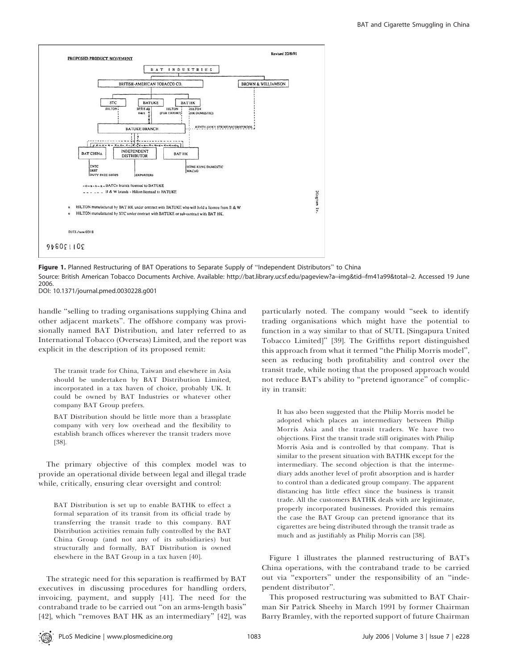

Figure 1. Planned Restructuring of BAT Operations to Separate Supply of "Independent Distributors" to China Source: British American Tobacco Documents Archive. Available: http://bat.library.ucsf.edu/pageview?a=img&tid=fm41a99&total=2. Accessed 19 June 2006.

DOI: 10.1371/journal.pmed.0030228.g001

handle ''selling to trading organisations supplying China and other adjacent markets''. The offshore company was provisionally named BAT Distribution, and later referred to as International Tobacco (Overseas) Limited, and the report was explicit in the description of its proposed remit:

The transit trade for China, Taiwan and elsewhere in Asia should be undertaken by BAT Distribution Limited, incorporated in a tax haven of choice, probably UK. It could be owned by BAT Industries or whatever other company BAT Group prefers.

BAT Distribution should be little more than a brassplate company with very low overhead and the flexibility to establish branch offices wherever the transit traders move [38].

The primary objective of this complex model was to provide an operational divide between legal and illegal trade while, critically, ensuring clear oversight and control:

BAT Distribution is set up to enable BATHK to effect a formal separation of its transit from its official trade by transferring the transit trade to this company. BAT Distribution activities remain fully controlled by the BAT China Group (and not any of its subsidiaries) but structurally and formally, BAT Distribution is owned elsewhere in the BAT Group in a tax haven [40].

The strategic need for this separation is reaffirmed by BAT executives in discussing procedures for handling orders, invoicing, payment, and supply [41]. The need for the contraband trade to be carried out ''on an arms-length basis'' [42], which "removes BAT HK as an intermediary" [42], was

particularly noted. The company would ''seek to identify trading organisations which might have the potential to function in a way similar to that of SUTL [Singapura United Tobacco Limited]'' [39]. The Griffiths report distinguished this approach from what it termed ''the Philip Morris model'', seen as reducing both profitability and control over the transit trade, while noting that the proposed approach would not reduce BAT's ability to ''pretend ignorance'' of complicity in transit:

It has also been suggested that the Philip Morris model be adopted which places an intermediary between Philip Morris Asia and the transit traders. We have two objections. First the transit trade still originates with Philip Morris Asia and is controlled by that company. That is similar to the present situation with BATHK except for the intermediary. The second objection is that the intermediary adds another level of profit absorption and is harder to control than a dedicated group company. The apparent distancing has little effect since the business is transit trade. All the customers BATHK deals with are legitimate, properly incorporated businesses. Provided this remains the case the BAT Group can pretend ignorance that its cigarettes are being distributed through the transit trade as much and as justifiably as Philip Morris can [38].

Figure 1 illustrates the planned restructuring of BAT's China operations, with the contraband trade to be carried out via ''exporters'' under the responsibility of an ''independent distributor''.

This proposed restructuring was submitted to BAT Chairman Sir Patrick Sheehy in March 1991 by former Chairman Barry Bramley, with the reported support of future Chairman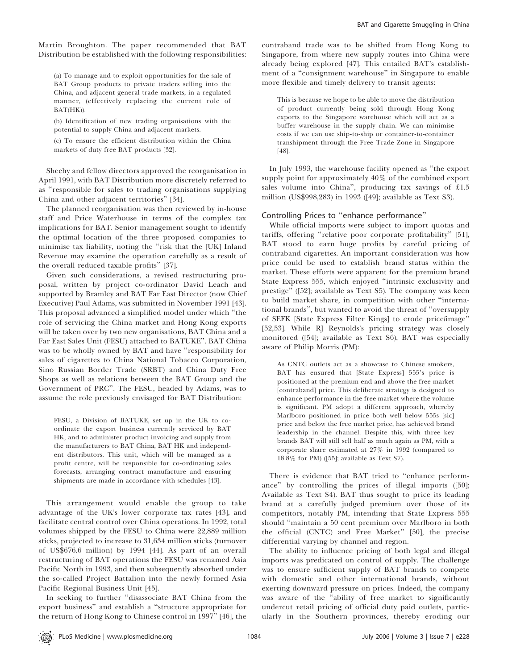Martin Broughton. The paper recommended that BAT Distribution be established with the following responsibilities:

(a) To manage and to exploit opportunities for the sale of BAT Group products to private traders selling into the China, and adjacent general trade markets, in a regulated manner, (effectively replacing the current role of BAT(HK)).

(b) Identification of new trading organisations with the potential to supply China and adjacent markets.

(c) To ensure the efficient distribution within the China markets of duty free BAT products [32].

Sheehy and fellow directors approved the reorganisation in April 1991, with BAT Distribution more discretely referred to as ''responsible for sales to trading organisations supplying China and other adjacent territories'' [34].

The planned reorganisation was then reviewed by in-house staff and Price Waterhouse in terms of the complex tax implications for BAT. Senior management sought to identify the optimal location of the three proposed companies to minimise tax liability, noting the ''risk that the [UK] Inland Revenue may examine the operation carefully as a result of the overall reduced taxable profits'' [37].

Given such considerations, a revised restructuring proposal, written by project co-ordinator David Leach and supported by Bramley and BAT Far East Director (now Chief Executive) Paul Adams, was submitted in November 1991 [43]. This proposal advanced a simplified model under which ''the role of servicing the China market and Hong Kong exports will be taken over by two new organisations, BAT China and a Far East Sales Unit (FESU) attached to BATUKE''. BAT China was to be wholly owned by BAT and have ''responsibility for sales of cigarettes to China National Tobacco Corporation, Sino Russian Border Trade (SRBT) and China Duty Free Shops as well as relations between the BAT Group and the Government of PRC''. The FESU, headed by Adams, was to assume the role previously envisaged for BAT Distribution:

FESU, a Division of BATUKE, set up in the UK to coordinate the export business currently serviced by BAT HK, and to administer product invoicing and supply from the manufacturers to BAT China, BAT HK and independent distributors. This unit, which will be managed as a profit centre, will be responsible for co-ordinating sales forecasts, arranging contract manufacture and ensuring shipments are made in accordance with schedules [43].

This arrangement would enable the group to take advantage of the UK's lower corporate tax rates [43], and facilitate central control over China operations. In 1992, total volumes shipped by the FESU to China were 22,889 million sticks, projected to increase to 31,634 million sticks (turnover of US\$676.6 million) by 1994 [44]. As part of an overall restructuring of BAT operations the FESU was renamed Asia Pacific North in 1993, and then subsequently absorbed under the so-called Project Battalion into the newly formed Asia Pacific Regional Business Unit [45].

In seeking to further ''disassociate BAT China from the export business'' and establish a ''structure appropriate for the return of Hong Kong to Chinese control in 1997'' [46], the

contraband trade was to be shifted from Hong Kong to Singapore, from where new supply routes into China were already being explored [47]. This entailed BAT's establishment of a ''consignment warehouse'' in Singapore to enable more flexible and timely delivery to transit agents:

This is because we hope to be able to move the distribution of product currently being sold through Hong Kong exports to the Singapore warehouse which will act as a buffer warehouse in the supply chain. We can minimise costs if we can use ship-to-ship or container-to-container transhipment through the Free Trade Zone in Singapore [48].

In July 1993, the warehouse facility opened as ''the export supply point for approximately 40% of the combined export sales volume into China'', producing tax savings of £1.5 million (US\$998,283) in 1993 ([49]; available as Text S3).

# Controlling Prices to ''enhance performance''

While official imports were subject to import quotas and tariffs, offering ''relative poor corporate profitability'' [51], BAT stood to earn huge profits by careful pricing of contraband cigarettes. An important consideration was how price could be used to establish brand status within the market. These efforts were apparent for the premium brand State Express 555, which enjoyed ''intrinsic exclusivity and prestige'' ([52]; available as Text S5). The company was keen to build market share, in competition with other ''international brands'', but wanted to avoid the threat of ''oversupply of SEFK [State Express Filter Kings] to erode price/image'' [52,53]. While RJ Reynolds's pricing strategy was closely monitored ([54]; available as Text S6), BAT was especially aware of Philip Morris (PM):

As CNTC outlets act as a showcase to Chinese smokers, BAT has ensured that [State Express] 555's price is positioned at the premium end and above the free market [contraband] price. This deliberate strategy is designed to enhance performance in the free market where the volume is significant. PM adopt a different approach, whereby Marlboro positioned in price both well below 555s [sic] price and below the free market price, has achieved brand leadership in the channel. Despite this, with three key brands BAT will still sell half as much again as PM, with a corporate share estimated at 27% in 1992 (compared to 18.8% for PM) ([55]; available as Text S7).

There is evidence that BAT tried to "enhance performance'' by controlling the prices of illegal imports ([50]; Available as Text S4). BAT thus sought to price its leading brand at a carefully judged premium over those of its competitors, notably PM, intending that State Express 555 should ''maintain a 50 cent premium over Marlboro in both the official (CNTC) and Free Market'' [50], the precise differential varying by channel and region.

The ability to influence pricing of both legal and illegal imports was predicated on control of supply. The challenge was to ensure sufficient supply of BAT brands to compete with domestic and other international brands, without exerting downward pressure on prices. Indeed, the company was aware of the ''ability of free market to significantly undercut retail pricing of official duty paid outlets, particularly in the Southern provinces, thereby eroding our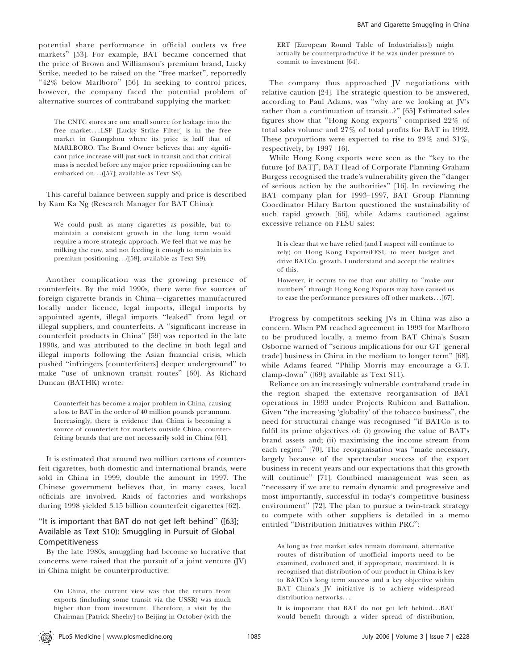potential share performance in official outlets vs free markets'' [53]. For example, BAT became concerned that the price of Brown and Williamson's premium brand, Lucky Strike, needed to be raised on the ''free market'', reportedly "42% below Marlboro" [56]. In seeking to control prices, however, the company faced the potential problem of alternative sources of contraband supplying the market:

The CNTC stores are one small source for leakage into the free market....LSF [Lucky Strike Filter] is in the free market in Guangzhou where its price is half that of MARLBORO. The Brand Owner believes that any significant price increase will just suck in transit and that critical mass is needed before any major price repositioning can be embarked on...([57]; available as Text S8).

This careful balance between supply and price is described by Kam Ka Ng (Research Manager for BAT China):

We could push as many cigarettes as possible, but to maintain a consistent growth in the long term would require a more strategic approach. We feel that we may be milking the cow, and not feeding it enough to maintain its premium positioning...([58]; available as Text S9).

Another complication was the growing presence of counterfeits. By the mid 1990s, there were five sources of foreign cigarette brands in China—cigarettes manufactured locally under licence, legal imports, illegal imports by appointed agents, illegal imports ''leaked'' from legal or illegal suppliers, and counterfeits. A ''significant increase in counterfeit products in China'' [59] was reported in the late 1990s, and was attributed to the decline in both legal and illegal imports following the Asian financial crisis, which pushed ''infringers [counterfeiters] deeper underground'' to make ''use of unknown transit routes'' [60]. As Richard Duncan (BATHK) wrote:

Counterfeit has become a major problem in China, causing a loss to BAT in the order of 40 million pounds per annum. Increasingly, there is evidence that China is becoming a source of counterfeit for markets outside China, counterfeiting brands that are not necessarily sold in China [61].

It is estimated that around two million cartons of counterfeit cigarettes, both domestic and international brands, were sold in China in 1999, double the amount in 1997. The Chinese government believes that, in many cases, local officials are involved. Raids of factories and workshops during 1998 yielded 3.15 billion counterfeit cigarettes [62].

# ''It is important that BAT do not get left behind'' ([63]; Available as Text S10): Smuggling in Pursuit of Global Competitiveness

By the late 1980s, smuggling had become so lucrative that concerns were raised that the pursuit of a joint venture (JV) in China might be counterproductive:

On China, the current view was that the return from exports (including some transit via the USSR) was much higher than from investment. Therefore, a visit by the Chairman [Patrick Sheehy] to Beijing in October (with the

ERT [European Round Table of Industrialists]) might actually be counterproductive if he was under pressure to commit to investment [64].

The company thus approached JV negotiations with relative caution [24]. The strategic question to be answered, according to Paul Adams, was ''why are we looking at JV's rather than a continuation of transit...?'' [65] Estimated sales figures show that ''Hong Kong exports'' comprised 22% of total sales volume and 27% of total profits for BAT in 1992. These proportions were expected to rise to 29% and 31%, respectively, by 1997 [16].

While Hong Kong exports were seen as the ''key to the future [of BAT]'', BAT Head of Corporate Planning Graham Burgess recognised the trade's vulnerability given the ''danger of serious action by the authorities'' [16]. In reviewing the BAT company plan for 1993–1997, BAT Group Planning Coordinator Hilary Barton questioned the sustainability of such rapid growth [66], while Adams cautioned against excessive reliance on FESU sales:

It is clear that we have relied (and I suspect will continue to rely) on Hong Kong Exports/FESU to meet budget and drive BATCo. growth. I understand and accept the realities of this.

However, it occurs to me that our ability to ''make our numbers'' through Hong Kong Exports may have caused us to ease the performance pressures off other markets...[67].

Progress by competitors seeking JVs in China was also a concern. When PM reached agreement in 1993 for Marlboro to be produced locally, a memo from BAT China's Susan Osborne warned of ''serious implications for our GT [general trade] business in China in the medium to longer term'' [68], while Adams feared ''Philip Morris may encourage a G.T. clamp-down'' ([69]; available as Text S11).

Reliance on an increasingly vulnerable contraband trade in the region shaped the extensive reorganisation of BAT operations in 1993 under Projects Rubicon and Battalion. Given ''the increasing 'globality' of the tobacco business'', the need for structural change was recognised ''if BATCo is to fulfil its prime objectives of: (i) growing the value of BAT's brand assets and; (ii) maximising the income stream from each region'' [70]. The reorganisation was ''made necessary, largely because of the spectacular success of the export business in recent years and our expectations that this growth will continue'' [71]. Combined management was seen as ''necessary if we are to remain dynamic and progressive and most importantly, successful in today's competitive business environment'' [72]. The plan to pursue a twin-track strategy to compete with other suppliers is detailed in a memo entitled ''Distribution Initiatives within PRC'':

As long as free market sales remain dominant, alternative routes of distribution of unofficial imports need to be examined, evaluated and, if appropriate, maximised. It is recognised that distribution of our product in China is key to BATCo's long term success and a key objective within BAT China's JV initiative is to achieve widespread distribution networks....

It is important that BAT do not get left behind...BAT would benefit through a wider spread of distribution,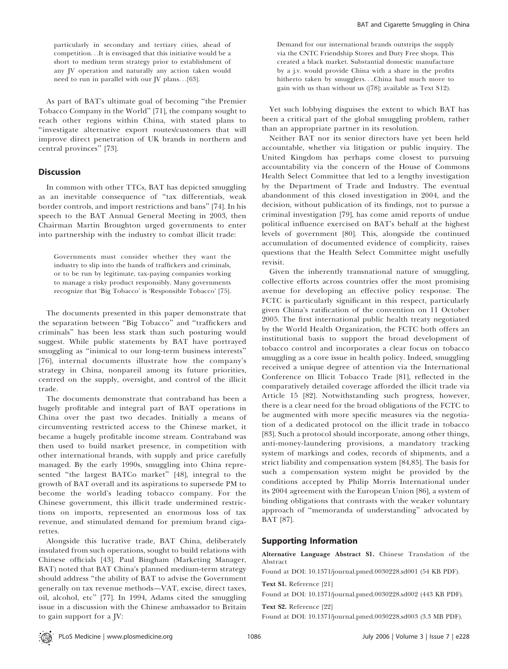As part of BAT's ultimate goal of becoming ''the Premier Tobacco Company in the World'' [71], the company sought to reach other regions within China, with stated plans to ''investigate alternative export routes/customers that will improve direct penetration of UK brands in northern and central provinces'' [73].

## **Discussion**

In common with other TTCs, BAT has depicted smuggling as an inevitable consequence of ''tax differentials, weak border controls, and import restrictions and bans'' [74]. In his speech to the BAT Annual General Meeting in 2003, then Chairman Martin Broughton urged governments to enter into partnership with the industry to combat illicit trade:

Governments must consider whether they want the industry to slip into the hands of traffickers and criminals, or to be run by legitimate, tax-paying companies working to manage a risky product responsibly. Many governments recognize that 'Big Tobacco' is 'Responsible Tobacco' [75].

The documents presented in this paper demonstrate that the separation between ''Big Tobacco'' and ''traffickers and criminals'' has been less stark than such posturing would suggest. While public statements by BAT have portrayed smuggling as ''inimical to our long-term business interests'' [76], internal documents illustrate how the company's strategy in China, nonpareil among its future priorities, centred on the supply, oversight, and control of the illicit trade.

The documents demonstrate that contraband has been a hugely profitable and integral part of BAT operations in China over the past two decades. Initially a means of circumventing restricted access to the Chinese market, it became a hugely profitable income stream. Contraband was then used to build market presence, in competition with other international brands, with supply and price carefully managed. By the early 1990s, smuggling into China represented ''the largest BATCo market'' [48], integral to the growth of BAT overall and its aspirations to supersede PM to become the world's leading tobacco company. For the Chinese government, this illicit trade undermined restrictions on imports, represented an enormous loss of tax revenue, and stimulated demand for premium brand cigarettes.

Alongside this lucrative trade, BAT China, deliberately insulated from such operations, sought to build relations with Chinese officials [43]. Paul Bingham (Marketing Manager, BAT) noted that BAT China's planned medium-term strategy should address ''the ability of BAT to advise the Government generally on tax revenue methods—VAT, excise, direct taxes, oil, alcohol, etc'' [77]. In 1994, Adams cited the smuggling issue in a discussion with the Chinese ambassador to Britain to gain support for a JV:

Demand for our international brands outstrips the supply via the CNTC Friendship Stores and Duty Free shops. This created a black market. Substantial domestic manufacture by a j.v. would provide China with a share in the profits hitherto taken by smugglers....China had much more to gain with us than without us ([78]; available as Text S12).

Yet such lobbying disguises the extent to which BAT has been a critical part of the global smuggling problem, rather than an appropriate partner in its resolution.

Neither BAT nor its senior directors have yet been held accountable, whether via litigation or public inquiry. The United Kingdom has perhaps come closest to pursuing accountability via the concern of the House of Commons Health Select Committee that led to a lengthy investigation by the Department of Trade and Industry. The eventual abandonment of this closed investigation in 2004, and the decision, without publication of its findings, not to pursue a criminal investigation [79], has come amid reports of undue political influence exercised on BAT's behalf at the highest levels of government [80]. This, alongside the continued accumulation of documented evidence of complicity, raises questions that the Health Select Committee might usefully revisit.

Given the inherently transnational nature of smuggling, collective efforts across countries offer the most promising avenue for developing an effective policy response. The FCTC is particularly significant in this respect, particularly given China's ratification of the convention on 11 October 2005. The first international public health treaty negotiated by the World Health Organization, the FCTC both offers an institutional basis to support the broad development of tobacco control and incorporates a clear focus on tobacco smuggling as a core issue in health policy. Indeed, smuggling received a unique degree of attention via the International Conference on Illicit Tobacco Trade [81], reflected in the comparatively detailed coverage afforded the illicit trade via Article 15 [82]. Notwithstanding such progress, however, there is a clear need for the broad obligations of the FCTC to be augmented with more specific measures via the negotiation of a dedicated protocol on the illicit trade in tobacco [83]. Such a protocol should incorporate, among other things, anti-money-laundering provisions, a mandatory tracking system of markings and codes, records of shipments, and a strict liability and compensation system [84,85]. The basis for such a compensation system might be provided by the conditions accepted by Philip Morris International under its 2004 agreement with the European Union [86], a system of binding obligations that contrasts with the weaker voluntary approach of ''memoranda of understanding'' advocated by BAT [87].

#### Supporting Information

Alternative Language Abstract S1. Chinese Translation of the Abstract

Found at DOI: 10.1371/journal.pmed.0030228.sd001 (54 KB PDF).

Text S1. Reference [21]

Found at DOI: 10.1371/journal.pmed.0030228.sd002 (443 KB PDF).

Text S2. Reference [22]

Found at DOI: 10.1371/journal.pmed.0030228.sd003 (3.3 MB PDF).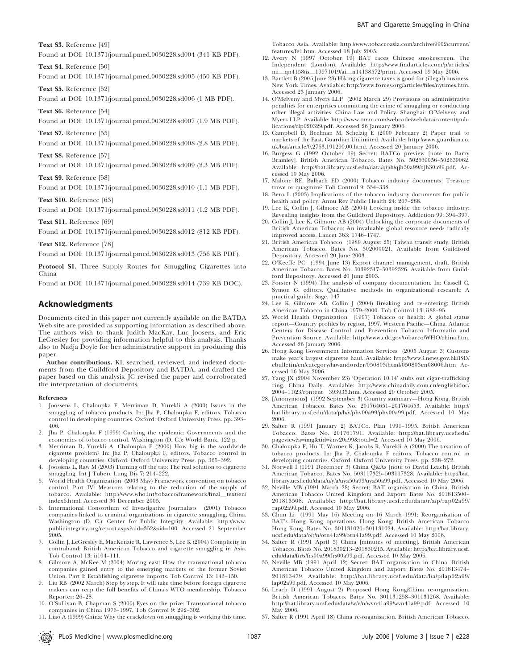Text S3. Reference [49]

Found at DOI: 10.1371/journal.pmed.0030228.sd004 (341 KB PDF).

Text S4. Reference [50]

Found at DOI: 10.1371/journal.pmed.0030228.sd005 (450 KB PDF).

Text S5. Reference [52] Found at DOI: 10.1371/journal.pmed.0030228.sd006 (1 MB PDF).

Text S6. Reference [54]

Found at DOI: 10.1371/journal.pmed.0030228.sd007 (1.9 MB PDF).

Text S7. Reference [55]

Found at DOI: 10.1371/journal.pmed.0030228.sd008 (2.8 MB PDF).

Text S8. Reference [57]

Found at DOI: 10.1371/journal.pmed.0030228.sd009 (2.3 MB PDF).

Text S9. Reference [58]

Found at DOI: 10.1371/journal.pmed.0030228.sd010 (1.1 MB PDF).

Text S10. Reference [63]

Found at DOI: 10.1371/journal.pmed.0030228.sd011 (1.2 MB PDF).

Text S11. Reference [69]

Found at DOI: 10.1371/journal.pmed.0030228.sd012 (812 KB PDF).

Text S12. Reference [78]

Found at DOI: 10.1371/journal.pmed.0030228.sd013 (756 KB PDF).

Protocol S1. Three Supply Routes for Smuggling Cigarettes into China

Found at DOI: 10.1371/journal.pmed.0030228.sd014 (739 KB DOC).

# Acknowledgments

Documents cited in this paper not currently available on the BATDA Web site are provided as supporting information as described above. The authors wish to thank Judith MacKay, Luc Joosens, and Eric LeGresley for providing information helpful to this analysis. Thanks also to Nadja Doyle for her administrative support in producing this paper.

Author contributions. KL searched, reviewed, and indexed documents from the Guildford Depository and BATDA, and drafted the paper based on this analysis.  $\overline{C}$  revised the paper and corroborated the interpretation of documents.

#### References

- 1. Joossens L, Chaloupka F, Merriman D, Yurekli A (2000) Issues in the smuggling of tobacco products. In: Jha P, Chaloupka F, editors. Tobacco control in developing countries. Oxford: Oxford University Press. pp. 393– 406.
- 2. Jha P, Chaloupka F (1999) Curbing the epidemic: Governments and the economics of tobacco control. Washington (D. C.): World Bank. 122 p.
- 3. Merriman D, Yurekli A, Chaloupka F (2000) How big is the worldwide cigarette problem? In: Jha P, Chaloupka F, editors. Tobacco control in developing countries. Oxford: Oxford University Press. pp. 365–392.
- 4. Joossens L, Raw M (2003) Turning off the tap: The real solution to cigarette smuggling. Int J Tuberc Lung Dis 7: 214–222.
- 5. World Health Organization (2003 May) Framework convention on tobacco control. Part IV: Measures relating to the reduction of the supply of tobacco. Available: http://www.who.int/tobacco/framework/final\_text/en/ index6.html. Accessed 30 December 2005.
- 6. International Consortium of Investigative Journalists (2001) Tobacco companies linked to criminal organizations in cigarette smuggling, China. Washington (D. C.): Center for Public Integrity. Available: http://www. publicintegrity.org/report.aspx?aid¼352&sid¼100. Accessed 21 September 2005.
- 7. Collin J, LeGresley E, MacKenzie R, Lawrence S, Lee K (2004) Complicity in contraband: British American Tobacco and cigarette smuggling in Asia. Tob Control 13: ii104–111.
- 8. Gilmore A, McKee M (2004) Moving east: How the transnational tobacco companies gained entry to the emerging markets of the former Soviet Union. Part I: Establishing cigarette imports. Tob Control 13: 143–150.
- 9. Liu RB (2002 March) Step by step. It will take time before foreign cigarette makers can reap the full benefits of China's WTO membership. Tobacco Reporter: 26–28.
- 10. O'Sullivan B, Chapman S (2000) Eyes on the prize: Transnational tobacco companies in China 1976–1997. Tob Control 9: 292–302.
- 11. Liao A (1999) China: Why the crackdown on smuggling is working this time.

Tobacco Asia. Available: http://www.tobaccoasia.com/archive/9902/current/ features/fe1.htm. Accessed 18 July 2005.

- 12. Avery N (1997 October 19) BAT faces Chinese smokescreen. The Independent (London). Available: http://www.findarticles.com/p/articles/ mi\_qn4158/is\_19971019/ai\_n14138572/print. Accessed 19 May 2006.
- 13. Bartlett B (2005 June 23) Hiking cigarette taxes is good for (illegal) business. New York Times. Available: http://www.forces.org/articles/files/nytimes.htm. Accessed 23 January 2006.
- 14. O'Melveny and Myers LLP (2002 March 29) Provisions on administrative penalties for enterprises committing the crime of smuggling or conducting other illegal activities. China Law and Policy. Shanghai: O'Melveny and Myers LLP. Available: http://www.omm.com/webcode/webdata/content/publications/clp020329.pdf. Accessed 26 January 2006.
- 15. Campbell D, Beelman M, Schelzig E (2000 February 2) Paper trail to markets of the East. Guardian Unlimited. Available: http://www.guardian.co. uk/bat/article/0,2763,191290,00.html. Accessed 20 January 2006.
- 16. Burgess G (1992 October 19) Secret: BATCo preview [note to Barry Bramley]. British American Tobacco. Bates No. 502639056–502639062. Available: http://bat.library.ucsf.edu/data/q/j/h/qjh30a99/qjh30a99.pdf. Accessed 10 May 2006.
- 17. Malone RE, Balbach ED (2000) Tobacco industry documents: Treasure trove or quagmire? Tob Control 9: 334–338.
- 18. Bero L (2003) Implications of the tobacco industry documents for public health and policy. Annu Rev Public Health 24: 267–288.
- 19. Lee K, Collin J, Gilmore AB (2004) Looking inside the tobacco industry: Revealing insights from the Guildford Depository. Addiction 99: 394–397.
- 20. Collin J, Lee K, Gilmore AB (2004) Unlocking the corporate documents of British American Tobacco: An invaluable global resource needs radically improved access. Lancet 363: 1746–1747.
- 21. British American Tobacco (1989 August 25) Taiwan transit study. British American Tobacco. Bates No. 302000021. Available from Guildford Depository. Accessed 20 June 2003.
- 22. O'Keeffe PC (1994 June 13) Export channel management, draft. British American Tobacco. Bates No. 50392317–50392326. Available from Guildford Depository. Accessed 20 June 2003.
- 23. Forster N (1994) The analysis of company documentation. In: Cassell C, Symon G, editors. Qualitative methods in organizational research: A practical guide. Sage. 147
- 24. Lee K, Gilmore AB, Collin J (2004) Breaking and re-entering: British American Tobacco in China 1979–2000. Tob Control 13: ii88–95.
- 25. World Health Organization (1997) Tobacco or health: A global status report—Country profiles by region, 1997. Western Pacific—China. Atlanta: Centers for Disease Control and Prevention Tobacco Informatio and Prevention Source. Available: http://www.cdc.gov/tobacco/WHO/china.htm. Accessed 26 January 2006.
- 26. Hong Kong Government Information Services (2005 August 3) Customs make year's largest cigarette haul. Available: http://www3.news.gov.hk/ISD/ ebulletin/en/category/lawandorder/050803/html/050803en08006.htm Accessed 16 May 2006.
- 27. Yang JX (2004 November 23) 'Operation 10.14' stubs out cigar-trafficking ring. China Daily. Available: http://www.chinadaily.com.cn/english/doc/ 2004–11/23/content\_393935.htm. Accessed 20 October 2005.
- 28. [Anonymous] (1992 September 3) Country summary—Hong Kong. British American Tobacco. Bates No. 201764651–201764653. Available: http:// bat.library.ucsf.edu/data/p/h/v/phv00a99/phv00a99.pdf. Accessed 10 May 2006.
- 29. Salter R (1991 January 2) BATCo. Plan 1991–1995. British American Tobacco. Bates No. 201761791. Available: http://bat.library.ucsf.edu/ pageview?a=img&tid=knv20a99&total=2. Accessed 10 May 2006.
- 30. Chaloupka F, Hu T, Warner K, Jacobs R, Yurekli A (2000) The taxation of tobacco products. In: Jha P, Chaloupka F editors. Tobacco control in developing countries. Oxford: Oxford University Press. pp. 238–272.
- 31. Norwell I (1991 December 3) China Q&As [note to David Leach]. British American Tobacco. Bates No. 503117325–503117328. Available: http://bat. library.ucsf.edu/data/u/y/a/uya50a99/uya50a99.pdf. Accessed 10 May 2006.
- 32. Neville MB (1991 March 28) Secret: BAT organisation in China. British American Tobacco United Kingdom and Export. Bates No. 201813500– 201813508. Available: http://bat.library.ucsf.edu/data/r/a/p/rap02a99/ rap02a99.pdf. Accessed 10 May 2006.
- 33. Chun Li (1991 May 16) Meeting on 16 March 1991: Reorganisation of BAT's Hong Kong operations. Hong Kong: British American Tobacco Hong Kong. Bates No. 301131020–301131024. Available: http://bat.library. ucsf.edu/data/o/t/n/otn41a99/otn41a99.pdf. Accessed 10 May 2006.
- 34. Salter R (1991 April 5) China [minutes of meeting]. British American Tobacco. Bates No. 201830213–201830215. Available: http://bat.library.ucsf. edu/data/f/r/s/frs00a99/frs00a99.pdf. Accessed 10 May 2006.
- 35. Neville MB (1991 April 12) Secret: BAT organisation in China. British American Tobacco United Kingdom and Export. Bates No. 201813474– 201813479. Available: http://bat.library.ucsf.edu/data/l/a/p/lap02a99/ lap02a99.pdf. Accessed 10 May 2006.
- 36. Leach D (1991 August 2) Proposed Hong Kong/China re-organisation. British American Tobacco. Bates No. 301131258–301131268. Available: http://bat.library.ucsf.edu/data/w/v/n/wvn41a99/wvn41a99.pdf. Accessed 10 May 2006.
- 37. Salter R (1991 April 18) China re-organisation. British American Tobacco.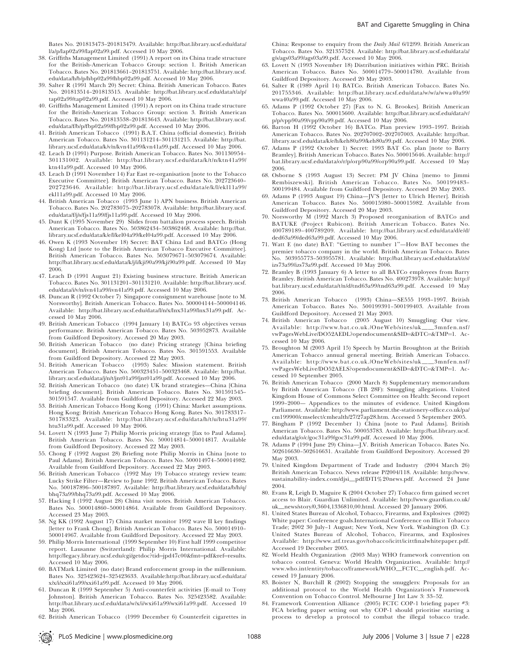- 38. Griffiths Management Limited (1991) A report on its China trade structure for the British-American Tobacco Group: section 1. British American Tobacco. Bates No. 201813661–201813751. Available: http://bat.library.ucsf. edu/data/h/b/p/hbp02a99/hbp02a99.pdf. Accessed 10 May 2006.
- 39. Salter R (1991 March 20) Secret: China. British American Tobacco. Bates No. 201813514–201813515. Available: http://bat.library.ucsf.edu/data/t/a/p/ tap02a99/tap02a99.pdf. Accessed 10 May 2006.
- 40. Griffiths Management Limited (1991) A report on its China trade structure for the British-American Tobacco Group: section 3. British American Tobacco. Bates No. 201813538–201813643. Available: http://bat.library.ucsf. edu/data/f/b/p/fbp02a99/fbp02a99.pdf. Accessed 10 May 2006.
- 41. British American Tobacco (1991) B.A.T. China (official domestic). British American Tobacco. Bates No. 301131214–301131215. Available: http://bat. library.ucsf.edu/data/k/v/n/kvn41a99/kvn41a99.pdf. Accessed 10 May 2006.
- 42. Leach D (1991) Purpose. British American Tobacco. Bates No. 301130954– 301131002. Available: http://bat.library.ucsf.edu/data/k/t/n/ktn41a99/ ktn41a99.pdf. Accessed 10 May 2006.
- 43. Leach D (1991 November 14) Far East re-organisation [note to the Tobacco Executive Committee]. British American Tobacco. Bates No. 202723640– 202723646. Available: http://bat.library.ucsf.edu/data/e/k/l/ekl11a99/ ekl11a99.pdf. Accessed 10 May 2006.
- 44. British American Tobacco (1993 June 1) APN business. British American Tobacco. Bates No. 202783075–202783078. Available: http://bat.library.ucsf. edu/data/f/j/s/fjs11a99/fjs11a99.pdf. Accessed 10 May 2006.
- 45. Dunt K (1995 November 29) Slides from battalion process speech. British American Tobacco. Bates No. 503862434–503862468. Available: http://bat. library.ucsf.edu/data/k/e/l/kel04a99/kel04a99.pdf. Accessed 10 May 2006.
- 46. Owen K (1993 November 18) Secret: BAT China Ltd and BATCo (Hong Kong) Ltd [note to the British American Tobacco Executive Committee]. British American Tobacco. Bates No. 503079671–503079674. Available: http://bat.library.ucsf.edu/data/k/j/i/kji90a99/kji90a99.pdf. Accessed 10 May 2006.
- 47. Leach D (1991 August 21) Existing business structure. British American Tobacco. Bates No. 301131201–301131210. Available: http://bat.library.ucsf. edu/data/i/v/n/ivn41a99/ivn41a99.pdf. Accessed 10 May 2006.
- 48. Duncan R (1992 October 7) Singapore consignment warehouse [note to M. Norsworthy]. British American Tobacco. Bates No. 500004144–500004146. Available: http://bat.library.ucsf.edu/data/l/n/x/lnx31a99/lnx31a99.pdf. Accessed 10 May 2006.
- 49. British American Tobacco (1994 January 14) BATCo 93 objectives versus performance. British American Tobacco. Bates No. 503952873. Available from Guildford Depository. Accessed 20 May 2003.
- 50. British American Tobacco (no date) Pricing strategy [China briefing document]. British American Tobacco. Bates No. 301591553. Available from Guildford Depository. Accessed 22 May 2003.
- 51. British American Tobacco (1993) Sales: Mission statement. British American Tobacco. Bates No. 500323451–500323468. Available: http://bat. library.ucsf.edu/data/j/n/t/jnt01a99/jnt01a99.pdf. Accessed 10 May 2006.
- 52. British American Tobacco (no date) UK brand strategies—China [China briefing document]. British American Tobacco. Bates No. 301591545– 301591547. Available from Guildford Depository. Accessed 22 May 2003.
- 53. British American Tobacco Hong Kong (1991) China: Market assumptions. Hong Kong: British American Tobacco Hong Kong. Bates No. 301783317– 301783323. Available: http://bat.library.ucsf.edu/data/h/t/u/htu31a99/ htu31a99.pdf. Accessed 10 May 2006.
- 54. Lovett N (1993 June 7) Philip Morris pricing strategy [fax to Paul Adams]. British American Tobacco. Bates No. 500014814–500014817. Available from Guildford Depository. Accessed 22 May 2003.
- 55. Chong F (1992 August 28) Briefing note Philip Morris in China [note to Paul Adams]. British American Tobacco. Bates No. 500014974–500014982. Available from Guildford Depository. Accessed 22 May 2003.
- 56. British American Tobacco (1992 May 19) Tobacco strategy review team: Lucky Strike Filter—Review to June 1992. British American Tobacco. Bates No. 500187896–500187897. Available: http://bat.library.ucsf.edu/data/b/h/q/ bhq73a99/bhq73a99.pdf. Accessed 10 May 2006.
- 57. Hacking I (1992 August 28) China visit notes. British American Tobacco. Bates No. 500014860–500014864. Available from Guildford Depository. Accessed 23 May 2003.
- 58. Ng KK (1992 August 17) China market monitor 1992 wave II key findings [letter to Frank Chong]. British American Tobacco. Bates No. 500014910– 500014967. Available from Guildford Depository. Accessed 22 May 2003.
- 59. Philip Morris International (1999 September 10) First half 1999 competitor report. Lausanne (Switzerland): Philip Morris International. Available: http://legacy.library.ucsf.edu/cgi/getdoc?tid=jpd47c00&fmt=pdf&ref=results. Accessed 10 May 2006.
- 60. BATMark Limited (no date) Brand enforcement group in the millennium. Bates No. 325423624–325423633. Available:http://bat.library.ucsf.edu/data/ x/x/i/xxi61a99/xxi61a99.pdf. Accessed 10 May 2006.
- 61. Duncan R (1999 September 5) Anti-counterfeit activities [E-mail to Tony Johnston]. British American Tobacco. Bates No. 325423582. Available: http://bat.library.ucsf.edu/data/w/x/i/wxi61a99/wxi61a99.pdf. Accessed 10 May 2006.
- 62. British American Tobacco (1999 December 6) Counterfeit cigarettes in

China: Response to enquiry from the Daily Mail 6/12/99. British American Tobacco. Bates No. 321357524. Available: http://bat.library.ucsf.edu/data/a/ g/s/ags03a99/ags03a99.pdf. Accessed 10 May 2006.

- 63. Lovett N (1993 November 18) Distribution initiatives within PRC. British American Tobacco. Bates No. 500014779–500014780. Available from Guildford Depository. Accessed 20 May 2003.
- 64. Salter R (1989 April 14) BATCo. British American Tobacco. Bates No. 201755346. Available: http://bat.library.ucsf.edu/data/w/w/a/wwa40a99/ wwa40a99.pdf. Accessed 10 May 2006.
- 65. Adams P (1992 October 27) [Fax to N. G. Brookes]. British American Tobacco. Bates No. 500015600. Available: http://bat.library.ucsf.edu/data/v/ p/p/vpp90a99/vpp90a99.pdf. Accessed 10 May 2006.
- 66. Barton H (1992 October 16) BATCo. Plan preview 1993–1997. British American Tobacco. Bates No. 202707002–202707003. Available: http://bat. library.ucsf.edu/data/k/e/h/keh80a99/keh80a99.pdf. Accessed 10 May 2006.
- 67. Adams P (1992 October 1) Secret: 1993 BAT Co. plan [note to Barry Bramley]. British American Tobacco. Bates No. 500015646. Available: http:// bat.library.ucsf.edu/data/o/r/p/orp90a99/orp90a99.pdf. Accessed 10 May 2006.
- 68. Osborne S (1993 August 13) Secret: PM JV China [memo to Jimmi Rembiszewski]. British American Tobacco. Bates No. 500199483– 500199484. Available from Guildford Depository. Accessed 20 May 2003.
- 69. Adams P (1993 August 19) China—JV'S [letter to Ulrich Herter]. British American Tobacco. Bates No. 500015980–500015982. Available from Guildford Depository. Accessed 20 May 2003.
- 70. Norsworthy M (1992 March 3) Proposed reorganisation of BATCo and BATUKE (Project Rubicon). British American Tobacco. Bates No. 400789189–400789209. Available: http://bat.library.ucsf.edu/data/d/e/d/ ded63a99/ded63a99.pdf. Accessed 10 May 2006.
- 71. Watt E (no date) BAT: ''Getting to number 1''—How BAT becomes the premier tobacco company in the world. British American Tobacco. Bates No. 503955773–503955781. Available: http://bat.library.ucsf.edu/data/i/z/s/ izs73a99/izs73a99.pdf. Accessed 10 May 2006.
- 72. Bramley B (1993 January 6) A letter to all BATCo employees from Barry Bramley. British American Tobacco. Bates No. 400273978. Available: http:// bat.library.ucsf.edu/data/t/n/d/tnd63a99/tnd63a99.pdf. Accessed 10 May 2006.
- 73. British American Tobacco (1993) China—SE555 1993–1997. British American Tobacco. Bates No. 500199391–500199403. Available from Guildford Depository. Accessed 21 May 2003.
- 74. British American Tobacco (2005 August 10) Smuggling: Our view. Available: http://www.bat.co.uk./OneWeb/sites/uk\_\_3mnfen.nsf/ vwPagesWebLive/DO52AEDL?opendocument&SID=&DTC=&TMP=1. Accessed 10 May 2006.
- 75. Broughton M (2003 April 15) Speech by Martin Broughton at the British American Tobacco annual general meeting. British American Tobacco. Available: http://www.bat.co.uk./OneWeb/sites/uk\_\_3mnfen.nsf/ vwPagesWebLive/DO52AELS?opendocument&SID=&DTC=&TMP=1. Accessed 10 September 2005.
- 76. British American Tobacco (2000 March 8) Supplementary memorandum by British American Tobacco (TB 28F): Smuggling allegations. United Kingdom House of Commons Select Committee on Health: Second report 1999–2000— Appendices to the minutes of evidence. United Kingdom Parliament. Available: http://www.parliament.the-stationery-office.co.uk/pa/ cm199900/cmselect/cmhealth/27/27ap28.htm. Accessed 5 September 2005.
- 77. Bingham P (1992 December 1) China [note to Paul Adams]. British American Tobacco. Bates No. 500053783. Available: http://bat.library.ucsf. edu/data/g/o/c/goc31a99/goc31a99.pdf. Accessed 10 May 2006.
- 78. Adams P (1994 June 29) China—J.V. British American Tobacco. Bates No. 502616630–502616631. Available from Guildford Depository. Accessed 20 May 2003.
- 79. United Kingdom Department of Trade and Industry (2004 March 26) British American Tobacco. News release P/2004/118. Available: http://www. sustainability-index.com/djsi\_pdf/DTI%20news.pdf. Accessed 24 June 2004.
- 80. Evans R, Leigh D, Maguire K (2004 October 27) Tobacco firm gained secret access to Blair. Guardian Unlimited. Available: http://www.guardian.co.uk/ uk\_news/story/0,3604,1336810,00.html. Accessed 20 January 2006.
- 81. United States Bureau of Alcohol, Tobacco, Firearms, and Explosives (2002) White paper: Conference goals.International Conference on Illicit Tobacco Trade; 2002 30 July–1 August; New York, New York. Washington (D. C.): United States Bureau of Alcohol, Tobacco, Firearms, and Explosives Available: http://www.atf.treas.gov/tobacco/icitt/icittfinalwhitepaper.pdf. Accessed 19 December 2005.
- 82. World Health Organization (2003 May) WHO framework convention on tobacco control. Geneva: World Health Organization. Available: http:// www.who.int/entity/tobacco/framework/WHO\_FCTC\_english.pdf. Accessed 19 January 2006.
- 83. Boister N, Burchill R (2002) Stopping the smugglers: Proposals for an additional protocol to the World Health Organization's Framework Convention on Tobacco Control. Melbourne J Int Law 3: 33–52.
- 84. Framework Convention Alliance (2005) FCTC COP-1 briefing paper #3: FCA briefing paper setting out why COP-1 should prioritise starting a process to develop a protocol to combat the illegal tobacco trade.